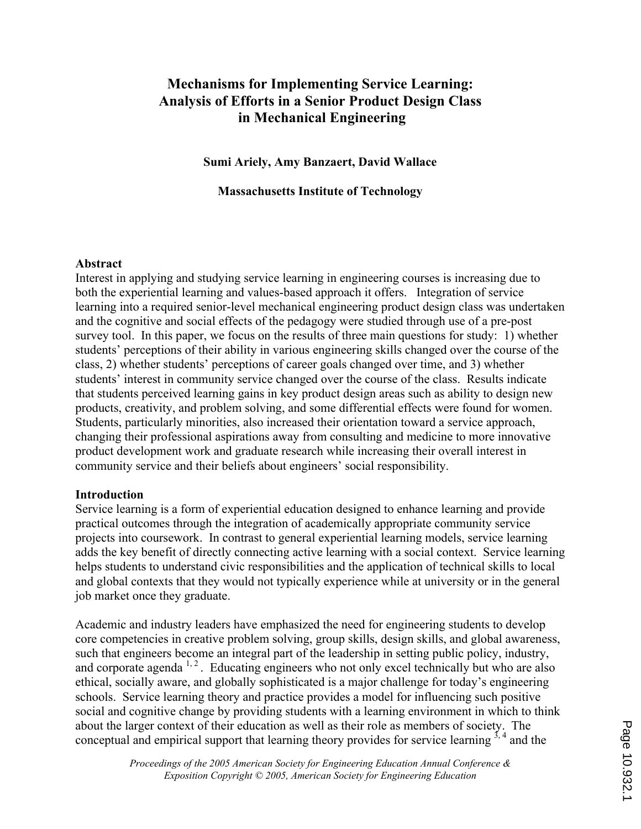# Mechanisms for Implementing Service Learning: Analysis of Efforts in a Senior Product Design Class in Mechanical Engineering

Sumi Ariely, Amy Banzaert, David Wallace

Massachusetts Institute of Technology

#### Abstract

Interest in applying and studying service learning in engineering courses is increasing due to both the experiential learning and values-based approach it offers. Integration of service learning into a required senior-level mechanical engineering product design class was undertaken and the cognitive and social effects of the pedagogy were studied through use of a pre-post survey tool. In this paper, we focus on the results of three main questions for study: 1) whether students' perceptions of their ability in various engineering skills changed over the course of the class, 2) whether students' perceptions of career goals changed over time, and 3) whether students' interest in community service changed over the course of the class. Results indicate that students perceived learning gains in key product design areas such as ability to design new products, creativity, and problem solving, and some differential effects were found for women. Students, particularly minorities, also increased their orientation toward a service approach, changing their professional aspirations away from consulting and medicine to more innovative product development work and graduate research while increasing their overall interest in community service and their beliefs about engineers' social responsibility.

#### Introduction

Service learning is a form of experiential education designed to enhance learning and provide practical outcomes through the integration of academically appropriate community service projects into coursework. In contrast to general experiential learning models, service learning adds the key benefit of directly connecting active learning with a social context. Service learning helps students to understand civic responsibilities and the application of technical skills to local and global contexts that they would not typically experience while at university or in the general job market once they graduate.

Academic and industry leaders have emphasized the need for engineering students to develop core competencies in creative problem solving, group skills, design skills, and global awareness, such that engineers become an integral part of the leadership in setting public policy, industry, and corporate agenda  $1, 2$ . Educating engineers who not only excel technically but who are also ethical, socially aware, and globally sophisticated is a major challenge for today's engineering schools. Service learning theory and practice provides a model for influencing such positive social and cognitive change by providing students with a learning environment in which to think about the larger context of their education as well as their role as members of society. The conceptual and empirical support that learning theory provides for service learning  $3, 4$  and the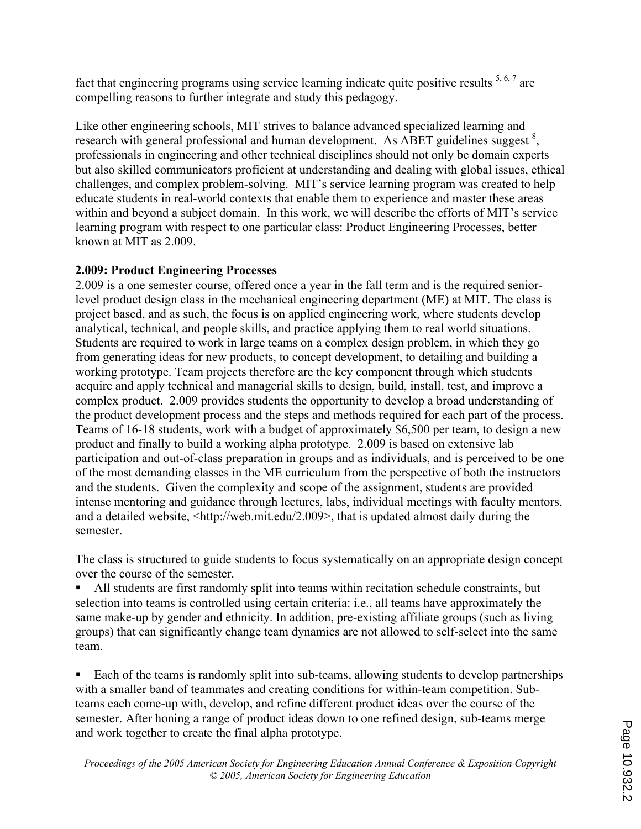fact that engineering programs using service learning indicate quite positive results  $5, 6, 7$  are compelling reasons to further integrate and study this pedagogy.

Like other engineering schools, MIT strives to balance advanced specialized learning and research with general professional and human development. As ABET guidelines suggest<sup>8</sup>, professionals in engineering and other technical disciplines should not only be domain experts but also skilled communicators proficient at understanding and dealing with global issues, ethical challenges, and complex problem-solving. MIT's service learning program was created to help educate students in real-world contexts that enable them to experience and master these areas within and beyond a subject domain. In this work, we will describe the efforts of MIT's service learning program with respect to one particular class: Product Engineering Processes, better known at MIT as 2.009.

# 2.009: Product Engineering Processes

2.009 is a one semester course, offered once a year in the fall term and is the required seniorlevel product design class in the mechanical engineering department (ME) at MIT. The class is project based, and as such, the focus is on applied engineering work, where students develop analytical, technical, and people skills, and practice applying them to real world situations. Students are required to work in large teams on a complex design problem, in which they go from generating ideas for new products, to concept development, to detailing and building a working prototype. Team projects therefore are the key component through which students acquire and apply technical and managerial skills to design, build, install, test, and improve a complex product. 2.009 provides students the opportunity to develop a broad understanding of the product development process and the steps and methods required for each part of the process. Teams of 16-18 students, work with a budget of approximately \$6,500 per team, to design a new product and finally to build a working alpha prototype. 2.009 is based on extensive lab participation and out-of-class preparation in groups and as individuals, and is perceived to be one of the most demanding classes in the ME curriculum from the perspective of both the instructors and the students. Given the complexity and scope of the assignment, students are provided intense mentoring and guidance through lectures, labs, individual meetings with faculty mentors, and a detailed website, <http://web.mit.edu/2.009>, that is updated almost daily during the semester.

The class is structured to guide students to focus systematically on an appropriate design concept over the course of the semester.

! All students are first randomly split into teams within recitation schedule constraints, but selection into teams is controlled using certain criteria: i.e., all teams have approximately the same make-up by gender and ethnicity. In addition, pre-existing affiliate groups (such as living groups) that can significantly change team dynamics are not allowed to self-select into the same team.

! Each of the teams is randomly split into sub-teams, allowing students to develop partnerships with a smaller band of teammates and creating conditions for within-team competition. Subteams each come-up with, develop, and refine different product ideas over the course of the semester. After honing a range of product ideas down to one refined design, sub-teams merge and work together to create the final alpha prototype.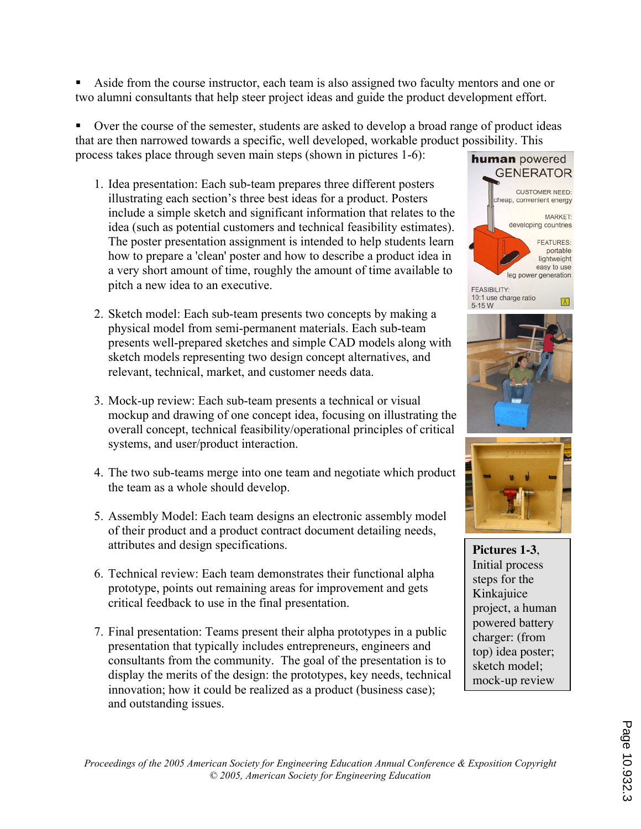! Aside from the course instructor, each team is also assigned two faculty mentors and one or two alumni consultants that help steer project ideas and guide the product development effort.

Over the course of the semester, students are asked to develop a broad range of product ideas that are then narrowed towards a specific, well developed, workable product possibility. This process takes place through seven main steps (shown in pictures 1-6):

- 1. Idea presentation: Each sub-team prepares three different posters illustrating each section's three best ideas for a product. Posters include a simple sketch and significant information that relates to the idea (such as potential customers and technical feasibility estimates). The poster presentation assignment is intended to help students learn how to prepare a 'clean' poster and how to describe a product idea in a very short amount of time, roughly the amount of time available to pitch a new idea to an executive.
- 2. Sketch model: Each sub-team presents two concepts by making a physical model from semi-permanent materials. Each sub-team presents well-prepared sketches and simple CAD models along with sketch models representing two design concept alternatives, and relevant, technical, market, and customer needs data.
- 3. Mock-up review: Each sub-team presents a technical or visual mockup and drawing of one concept idea, focusing on illustrating the overall concept, technical feasibility/operational principles of critical systems, and user/product interaction.
- 4. The two sub-teams merge into one team and negotiate which product the team as a whole should develop.
- 5. Assembly Model: Each team designs an electronic assembly model of their product and a product contract document detailing needs, attributes and design specifications.
- 6. Technical review: Each team demonstrates their functional alpha prototype, points out remaining areas for improvement and gets critical feedback to use in the final presentation.
- 7. Final presentation: Teams present their alpha prototypes in a public presentation that typically includes entrepreneurs, engineers and consultants from the community. The goal of the presentation is to display the merits of the design: the prototypes, key needs, technical innovation; how it could be realized as a product (business case); and outstanding issues.







**Pictures 1-3**, Initial process steps for the Kinkajuice project, a human powered battery charger: (from top) idea poster; sketch model; mock-up review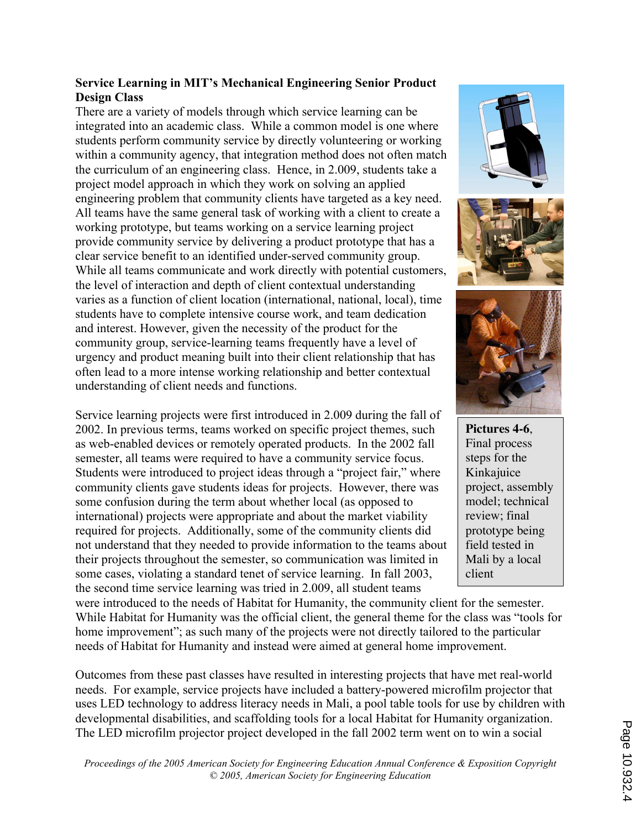## Service Learning in MIT's Mechanical Engineering Senior Product Design Class

There are a variety of models through which service learning can be integrated into an academic class. While a common model is one where students perform community service by directly volunteering or working within a community agency, that integration method does not often match the curriculum of an engineering class. Hence, in 2.009, students take a project model approach in which they work on solving an applied engineering problem that community clients have targeted as a key need. All teams have the same general task of working with a client to create a working prototype, but teams working on a service learning project provide community service by delivering a product prototype that has a clear service benefit to an identified under-served community group. While all teams communicate and work directly with potential customers, the level of interaction and depth of client contextual understanding varies as a function of client location (international, national, local), time students have to complete intensive course work, and team dedication and interest. However, given the necessity of the product for the community group, service-learning teams frequently have a level of urgency and product meaning built into their client relationship that has often lead to a more intense working relationship and better contextual understanding of client needs and functions.

Service learning projects were first introduced in 2.009 during the fall of 2002. In previous terms, teams worked on specific project themes, such as web-enabled devices or remotely operated products. In the 2002 fall semester, all teams were required to have a community service focus. Students were introduced to project ideas through a "project fair," where community clients gave students ideas for projects. However, there was some confusion during the term about whether local (as opposed to international) projects were appropriate and about the market viability required for projects. Additionally, some of the community clients did not understand that they needed to provide information to the teams about their projects throughout the semester, so communication was limited in some cases, violating a standard tenet of service learning. In fall 2003, the second time service learning was tried in 2.009, all student teams







**Pictures 4-6**, Final process steps for the Kinkajuice project, assembly model; technical review; final prototype being field tested in Mali by a local client

were introduced to the needs of Habitat for Humanity, the community client for the semester. While Habitat for Humanity was the official client, the general theme for the class was "tools for home improvement"; as such many of the projects were not directly tailored to the particular needs of Habitat for Humanity and instead were aimed at general home improvement.

Outcomes from these past classes have resulted in interesting projects that have met real-world needs. For example, service projects have included a battery-powered microfilm projector that uses LED technology to address literacy needs in Mali, a pool table tools for use by children with developmental disabilities, and scaffolding tools for a local Habitat for Humanity organization. The LED microfilm projector project developed in the fall 2002 term went on to win a social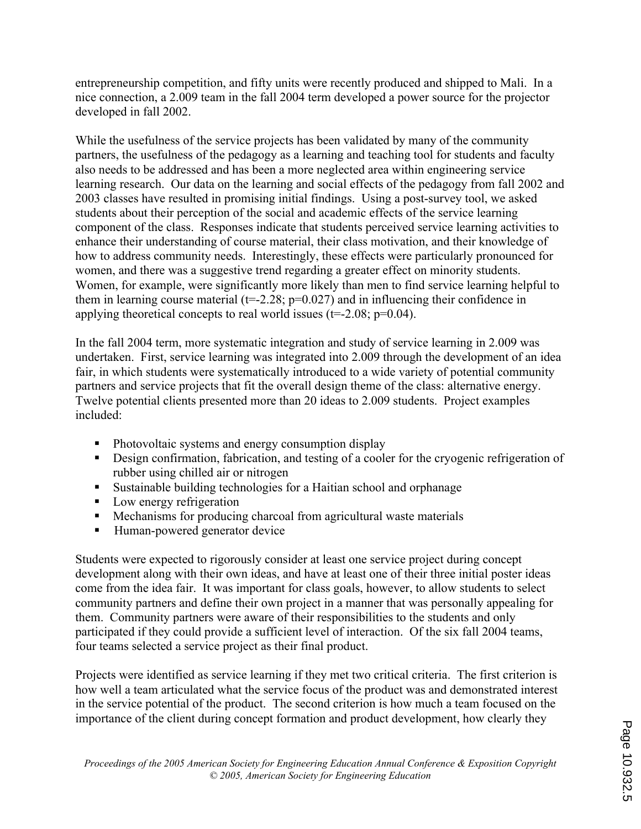entrepreneurship competition, and fifty units were recently produced and shipped to Mali. In a nice connection, a 2.009 team in the fall 2004 term developed a power source for the projector developed in fall 2002.

While the usefulness of the service projects has been validated by many of the community partners, the usefulness of the pedagogy as a learning and teaching tool for students and faculty also needs to be addressed and has been a more neglected area within engineering service learning research. Our data on the learning and social effects of the pedagogy from fall 2002 and 2003 classes have resulted in promising initial findings. Using a post-survey tool, we asked students about their perception of the social and academic effects of the service learning component of the class. Responses indicate that students perceived service learning activities to enhance their understanding of course material, their class motivation, and their knowledge of how to address community needs. Interestingly, these effects were particularly pronounced for women, and there was a suggestive trend regarding a greater effect on minority students. Women, for example, were significantly more likely than men to find service learning helpful to them in learning course material ( $t=2.28$ ;  $p=0.027$ ) and in influencing their confidence in applying theoretical concepts to real world issues ( $t=-2.08$ ;  $p=0.04$ ).

In the fall 2004 term, more systematic integration and study of service learning in 2.009 was undertaken. First, service learning was integrated into 2.009 through the development of an idea fair, in which students were systematically introduced to a wide variety of potential community partners and service projects that fit the overall design theme of the class: alternative energy. Twelve potential clients presented more than 20 ideas to 2.009 students. Project examples included:

- **•** Photovoltaic systems and energy consumption display
- ! Design confirmation, fabrication, and testing of a cooler for the cryogenic refrigeration of rubber using chilled air or nitrogen
- ! Sustainable building technologies for a Haitian school and orphanage
- Low energy refrigeration
- ! Mechanisms for producing charcoal from agricultural waste materials
- ! Human-powered generator device

Students were expected to rigorously consider at least one service project during concept development along with their own ideas, and have at least one of their three initial poster ideas come from the idea fair. It was important for class goals, however, to allow students to select community partners and define their own project in a manner that was personally appealing for them. Community partners were aware of their responsibilities to the students and only participated if they could provide a sufficient level of interaction. Of the six fall 2004 teams, four teams selected a service project as their final product.

Projects were identified as service learning if they met two critical criteria. The first criterion is how well a team articulated what the service focus of the product was and demonstrated interest in the service potential of the product. The second criterion is how much a team focused on the importance of the client during concept formation and product development, how clearly they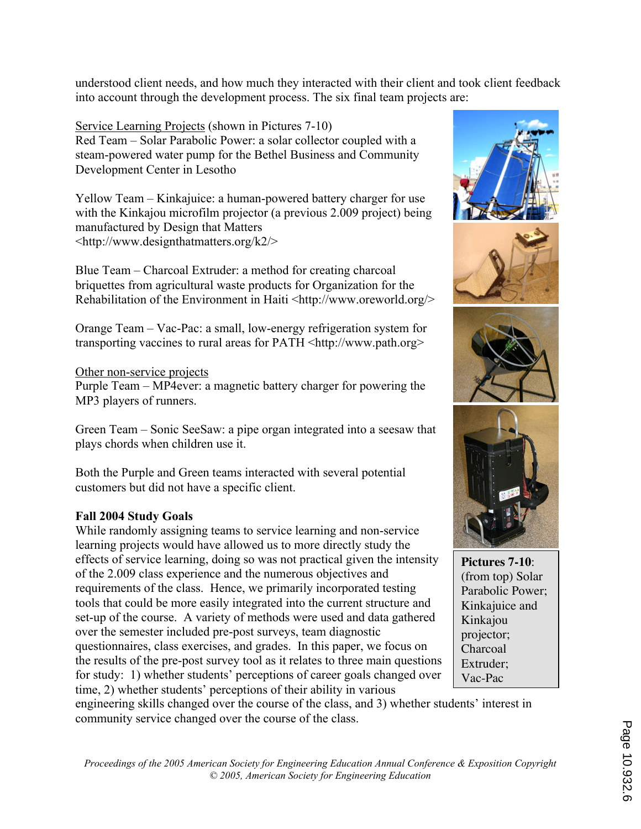understood client needs, and how much they interacted with their client and took client feedback into account through the development process. The six final team projects are:

Service Learning Projects (shown in Pictures 7-10) Red Team – Solar Parabolic Power: a solar collector coupled with a steam-powered water pump for the Bethel Business and Community Development Center in Lesotho

Yellow Team – Kinkajuice: a human-powered battery charger for use with the Kinkajou microfilm projector (a previous 2.009 project) being manufactured by Design that Matters <http://www.designthatmatters.org/k2/>

Blue Team – Charcoal Extruder: a method for creating charcoal briquettes from agricultural waste products for Organization for the Rehabilitation of the Environment in Haiti <http://www.oreworld.org/>

Orange Team – Vac-Pac: a small, low-energy refrigeration system for transporting vaccines to rural areas for PATH <http://www.path.org>

## Other non-service projects

Purple Team – MP4ever: a magnetic battery charger for powering the MP3 players of runners.

Green Team – Sonic SeeSaw: a pipe organ integrated into a seesaw that plays chords when children use it.

Both the Purple and Green teams interacted with several potential customers but did not have a specific client.

## Fall 2004 Study Goals

While randomly assigning teams to service learning and non-service learning projects would have allowed us to more directly study the effects of service learning, doing so was not practical given the intensity of the 2.009 class experience and the numerous objectives and requirements of the class. Hence, we primarily incorporated testing tools that could be more easily integrated into the current structure and set-up of the course. A variety of methods were used and data gathered over the semester included pre-post surveys, team diagnostic questionnaires, class exercises, and grades. In this paper, we focus on the results of the pre-post survey tool as it relates to three main questions for study: 1) whether students' perceptions of career goals changed over time, 2) whether students' perceptions of their ability in various

engineering skills changed over the course of the class, and 3) whether students' interest in community service changed over the course of the class.





**Pictures 7-10**: (from top) Solar Parabolic Power; Kinkajuice and Kinkajou projector; Charcoal Extruder; Vac-Pac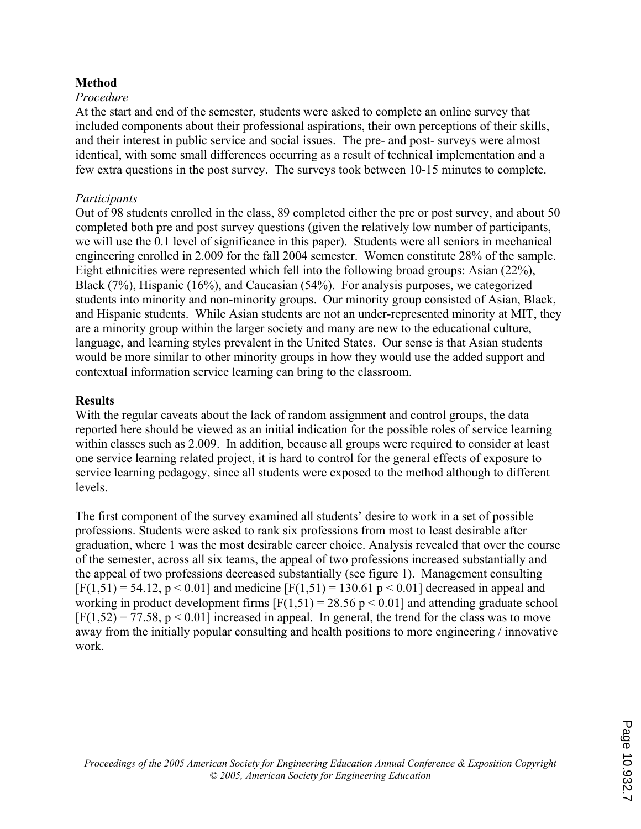## Method

### Procedure

At the start and end of the semester, students were asked to complete an online survey that included components about their professional aspirations, their own perceptions of their skills, and their interest in public service and social issues. The pre- and post- surveys were almost identical, with some small differences occurring as a result of technical implementation and a few extra questions in the post survey. The surveys took between 10-15 minutes to complete.

### Participants

Out of 98 students enrolled in the class, 89 completed either the pre or post survey, and about 50 completed both pre and post survey questions (given the relatively low number of participants, we will use the 0.1 level of significance in this paper). Students were all seniors in mechanical engineering enrolled in 2.009 for the fall 2004 semester. Women constitute 28% of the sample. Eight ethnicities were represented which fell into the following broad groups: Asian (22%), Black (7%), Hispanic (16%), and Caucasian (54%). For analysis purposes, we categorized students into minority and non-minority groups. Our minority group consisted of Asian, Black, and Hispanic students. While Asian students are not an under-represented minority at MIT, they are a minority group within the larger society and many are new to the educational culture, language, and learning styles prevalent in the United States. Our sense is that Asian students would be more similar to other minority groups in how they would use the added support and contextual information service learning can bring to the classroom.

#### **Results**

With the regular caveats about the lack of random assignment and control groups, the data reported here should be viewed as an initial indication for the possible roles of service learning within classes such as 2.009. In addition, because all groups were required to consider at least one service learning related project, it is hard to control for the general effects of exposure to service learning pedagogy, since all students were exposed to the method although to different levels.

The first component of the survey examined all students' desire to work in a set of possible professions. Students were asked to rank six professions from most to least desirable after graduation, where 1 was the most desirable career choice. Analysis revealed that over the course of the semester, across all six teams, the appeal of two professions increased substantially and the appeal of two professions decreased substantially (see figure 1). Management consulting  $[F(1,51) = 54.12, p < 0.01]$  and medicine  $[F(1,51) = 130.61 p < 0.01]$  decreased in appeal and working in product development firms  $[F(1,51) = 28.56 \text{ p} < 0.01]$  and attending graduate school  $[F(1,52) = 77.58, p < 0.01]$  increased in appeal. In general, the trend for the class was to move away from the initially popular consulting and health positions to more engineering / innovative work.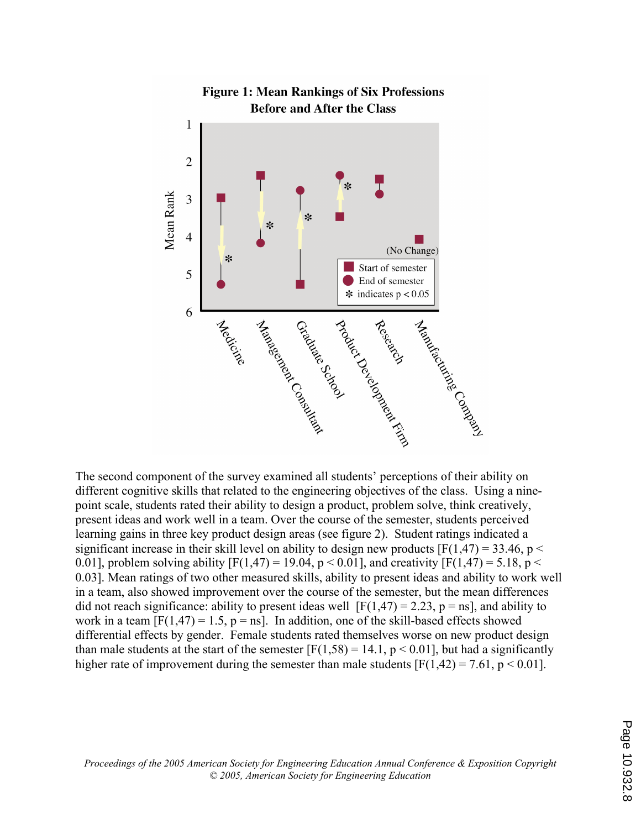

The second component of the survey examined all students' perceptions of their ability on different cognitive skills that related to the engineering objectives of the class. Using a ninepoint scale, students rated their ability to design a product, problem solve, think creatively, present ideas and work well in a team. Over the course of the semester, students perceived learning gains in three key product design areas (see figure 2). Student ratings indicated a significant increase in their skill level on ability to design new products  $[F(1,47) = 33.46, p <$ 0.01], problem solving ability  $[F(1,47) = 19.04, p < 0.01]$ , and creativity  $[F(1,47) = 5.18, p <$ 0.03]. Mean ratings of two other measured skills, ability to present ideas and ability to work well in a team, also showed improvement over the course of the semester, but the mean differences did not reach significance: ability to present ideas well  $[F(1,47) = 2.23, p = ns]$ , and ability to work in a team  $[F(1,47) = 1.5, p = ns]$ . In addition, one of the skill-based effects showed differential effects by gender. Female students rated themselves worse on new product design than male students at the start of the semester  $[F(1,58) = 14.1, p < 0.01]$ , but had a significantly higher rate of improvement during the semester than male students  $[F(1,42) = 7.61, p \le 0.01]$ .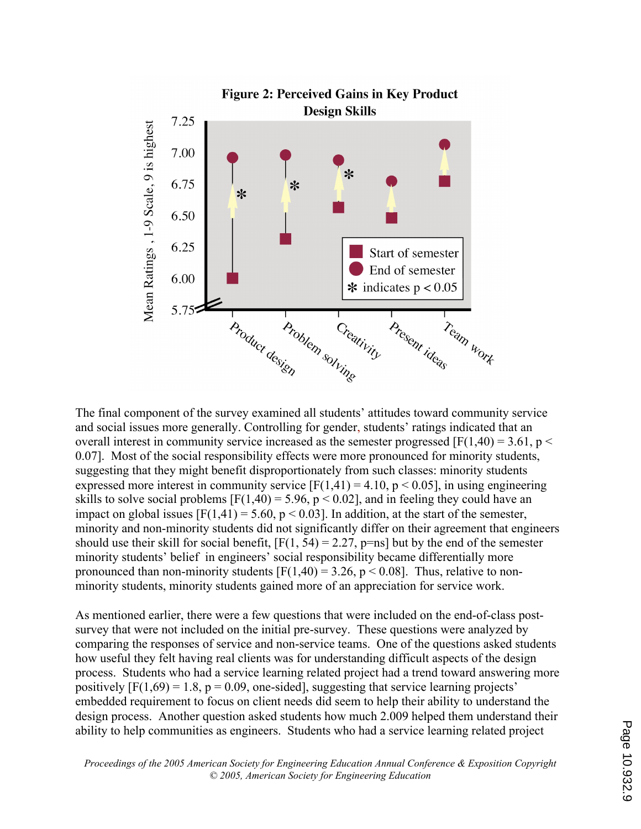

The final component of the survey examined all students' attitudes toward community service and social issues more generally. Controlling for gender, students' ratings indicated that an overall interest in community service increased as the semester progressed  $[F(1,40) = 3.61, p <$ 0.07]. Most of the social responsibility effects were more pronounced for minority students, suggesting that they might benefit disproportionately from such classes: minority students expressed more interest in community service  $[F(1,41) = 4.10, p < 0.05]$ , in using engineering skills to solve social problems  $[F(1,40) = 5.96, p < 0.02]$ , and in feeling they could have an impact on global issues  $[F(1,41) = 5.60, p < 0.03]$ . In addition, at the start of the semester, minority and non-minority students did not significantly differ on their agreement that engineers should use their skill for social benefit,  $[F(1, 54) = 2.27, p=ns]$  but by the end of the semester minority students' belief in engineers' social responsibility became differentially more pronounced than non-minority students  $[F(1,40) = 3.26, p < 0.08]$ . Thus, relative to nonminority students, minority students gained more of an appreciation for service work.

As mentioned earlier, there were a few questions that were included on the end-of-class postsurvey that were not included on the initial pre-survey. These questions were analyzed by comparing the responses of service and non-service teams. One of the questions asked students how useful they felt having real clients was for understanding difficult aspects of the design process. Students who had a service learning related project had a trend toward answering more positively  $[F(1,69) = 1.8, p = 0.09,$  one-sided], suggesting that service learning projects' embedded requirement to focus on client needs did seem to help their ability to understand the design process. Another question asked students how much 2.009 helped them understand their ability to help communities as engineers. Students who had a service learning related project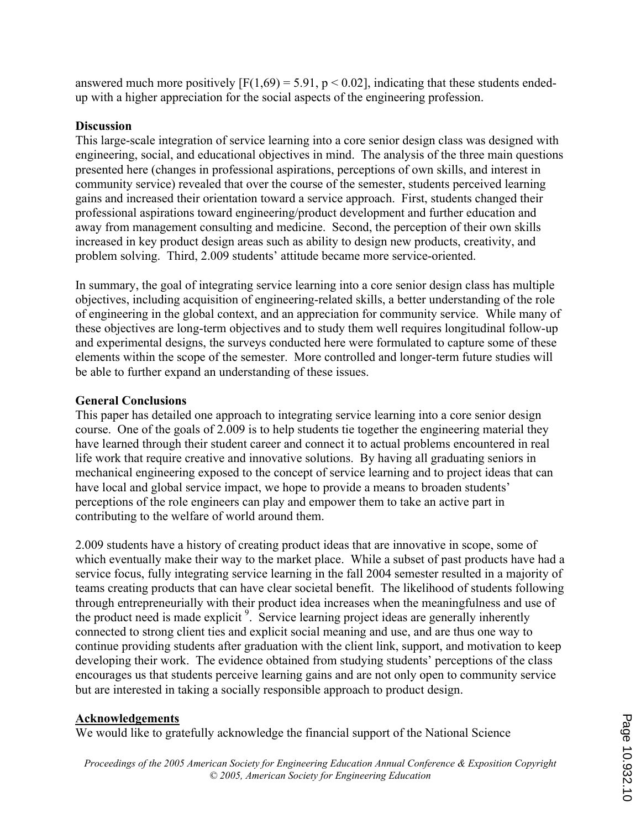answered much more positively  $[F(1,69) = 5.91, p < 0.02]$ , indicating that these students endedup with a higher appreciation for the social aspects of the engineering profession.

## **Discussion**

This large-scale integration of service learning into a core senior design class was designed with engineering, social, and educational objectives in mind. The analysis of the three main questions presented here (changes in professional aspirations, perceptions of own skills, and interest in community service) revealed that over the course of the semester, students perceived learning gains and increased their orientation toward a service approach. First, students changed their professional aspirations toward engineering/product development and further education and away from management consulting and medicine. Second, the perception of their own skills increased in key product design areas such as ability to design new products, creativity, and problem solving. Third, 2.009 students' attitude became more service-oriented.

In summary, the goal of integrating service learning into a core senior design class has multiple objectives, including acquisition of engineering-related skills, a better understanding of the role of engineering in the global context, and an appreciation for community service. While many of these objectives are long-term objectives and to study them well requires longitudinal follow-up and experimental designs, the surveys conducted here were formulated to capture some of these elements within the scope of the semester. More controlled and longer-term future studies will be able to further expand an understanding of these issues.

## General Conclusions

This paper has detailed one approach to integrating service learning into a core senior design course. One of the goals of 2.009 is to help students tie together the engineering material they have learned through their student career and connect it to actual problems encountered in real life work that require creative and innovative solutions. By having all graduating seniors in mechanical engineering exposed to the concept of service learning and to project ideas that can have local and global service impact, we hope to provide a means to broaden students' perceptions of the role engineers can play and empower them to take an active part in contributing to the welfare of world around them.

2.009 students have a history of creating product ideas that are innovative in scope, some of which eventually make their way to the market place. While a subset of past products have had a service focus, fully integrating service learning in the fall 2004 semester resulted in a majority of teams creating products that can have clear societal benefit. The likelihood of students following through entrepreneurially with their product idea increases when the meaningfulness and use of the product need is made explicit<sup>9</sup>. Service learning project ideas are generally inherently connected to strong client ties and explicit social meaning and use, and are thus one way to continue providing students after graduation with the client link, support, and motivation to keep developing their work. The evidence obtained from studying students' perceptions of the class encourages us that students perceive learning gains and are not only open to community service but are interested in taking a socially responsible approach to product design.

## Acknowledgements

We would like to gratefully acknowledge the financial support of the National Science